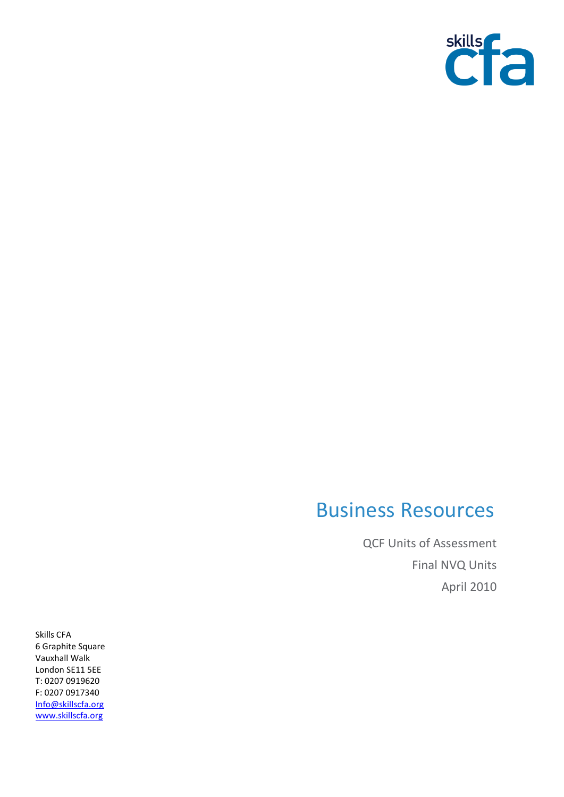

## Business Resources

QCF Units of Assessment Final NVQ Units April 2010

Skills CFA 6 Graphite Square Vauxhall Walk London SE11 5EE T: 0207 0919620 F: 0207 0917340 [Info@skillscfa.org](mailto:Info@skillscfa.org) [www.skillscfa.org](http://www.skillscfa.org/)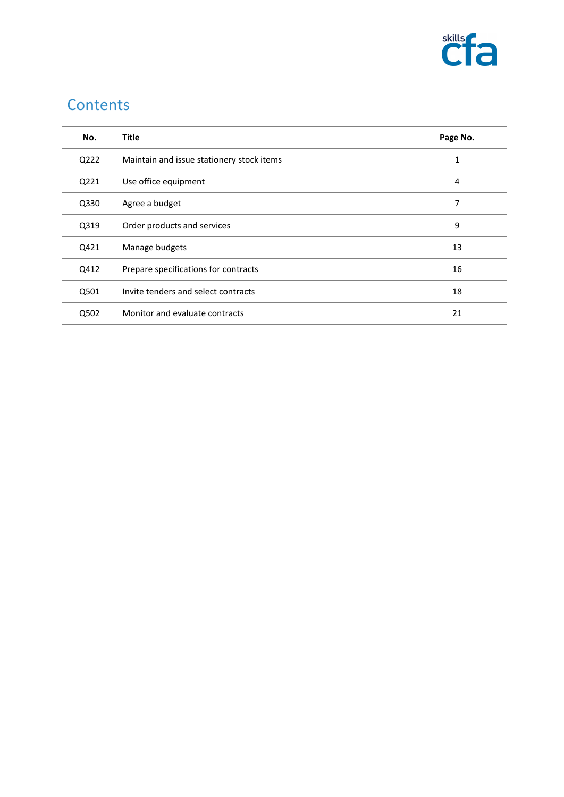

## **Contents**

| No.  | <b>Title</b>                              | Page No. |
|------|-------------------------------------------|----------|
| Q222 | Maintain and issue stationery stock items | 1        |
| Q221 | Use office equipment                      | 4        |
| Q330 | Agree a budget                            | 7        |
| Q319 | Order products and services               | 9        |
| Q421 | Manage budgets                            | 13       |
| Q412 | Prepare specifications for contracts      | 16       |
| Q501 | Invite tenders and select contracts       | 18       |
| Q502 | Monitor and evaluate contracts            | 21       |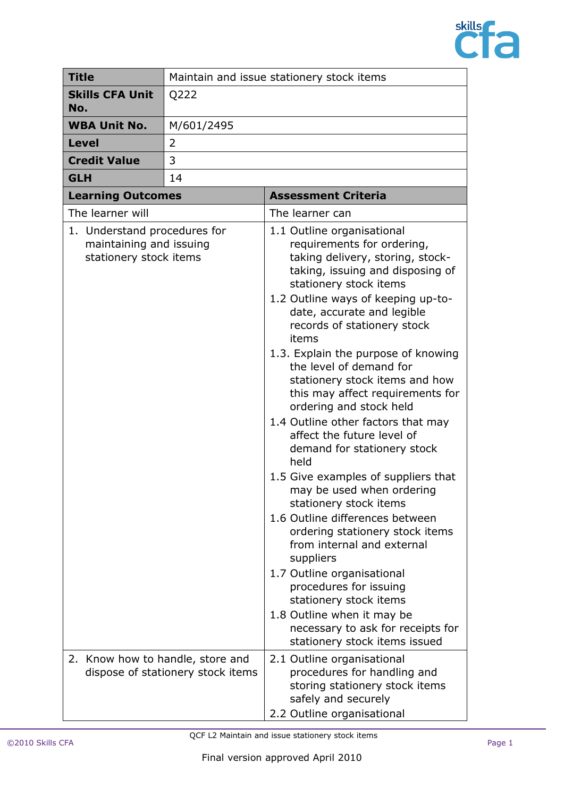

| <b>Title</b>                                                                      | Maintain and issue stationery stock items |                                                                                                                                                                                                                                                                                                                                                                                                                                                                                                                                                                                                                                                                                                                                                                                                                                                                                                                                                           |
|-----------------------------------------------------------------------------------|-------------------------------------------|-----------------------------------------------------------------------------------------------------------------------------------------------------------------------------------------------------------------------------------------------------------------------------------------------------------------------------------------------------------------------------------------------------------------------------------------------------------------------------------------------------------------------------------------------------------------------------------------------------------------------------------------------------------------------------------------------------------------------------------------------------------------------------------------------------------------------------------------------------------------------------------------------------------------------------------------------------------|
| <b>Skills CFA Unit</b><br>No.                                                     | Q222                                      |                                                                                                                                                                                                                                                                                                                                                                                                                                                                                                                                                                                                                                                                                                                                                                                                                                                                                                                                                           |
| <b>WBA Unit No.</b>                                                               | M/601/2495                                |                                                                                                                                                                                                                                                                                                                                                                                                                                                                                                                                                                                                                                                                                                                                                                                                                                                                                                                                                           |
| <b>Level</b>                                                                      | $\overline{2}$                            |                                                                                                                                                                                                                                                                                                                                                                                                                                                                                                                                                                                                                                                                                                                                                                                                                                                                                                                                                           |
| <b>Credit Value</b>                                                               | 3                                         |                                                                                                                                                                                                                                                                                                                                                                                                                                                                                                                                                                                                                                                                                                                                                                                                                                                                                                                                                           |
| <b>GLH</b>                                                                        | 14                                        |                                                                                                                                                                                                                                                                                                                                                                                                                                                                                                                                                                                                                                                                                                                                                                                                                                                                                                                                                           |
| <b>Learning Outcomes</b>                                                          |                                           | <b>Assessment Criteria</b>                                                                                                                                                                                                                                                                                                                                                                                                                                                                                                                                                                                                                                                                                                                                                                                                                                                                                                                                |
| The learner will                                                                  |                                           | The learner can                                                                                                                                                                                                                                                                                                                                                                                                                                                                                                                                                                                                                                                                                                                                                                                                                                                                                                                                           |
| 1. Understand procedures for<br>maintaining and issuing<br>stationery stock items |                                           | 1.1 Outline organisational<br>requirements for ordering,<br>taking delivery, storing, stock-<br>taking, issuing and disposing of<br>stationery stock items<br>1.2 Outline ways of keeping up-to-<br>date, accurate and legible<br>records of stationery stock<br>items<br>1.3. Explain the purpose of knowing<br>the level of demand for<br>stationery stock items and how<br>this may affect requirements for<br>ordering and stock held<br>1.4 Outline other factors that may<br>affect the future level of<br>demand for stationery stock<br>held<br>1.5 Give examples of suppliers that<br>may be used when ordering<br>stationery stock items<br>1.6 Outline differences between<br>ordering stationery stock items<br>from internal and external<br>suppliers<br>1.7 Outline organisational<br>procedures for issuing<br>stationery stock items<br>1.8 Outline when it may be<br>necessary to ask for receipts for<br>stationery stock items issued |
| 2. Know how to handle, store and                                                  | dispose of stationery stock items         | 2.1 Outline organisational<br>procedures for handling and<br>storing stationery stock items<br>safely and securely<br>2.2 Outline organisational                                                                                                                                                                                                                                                                                                                                                                                                                                                                                                                                                                                                                                                                                                                                                                                                          |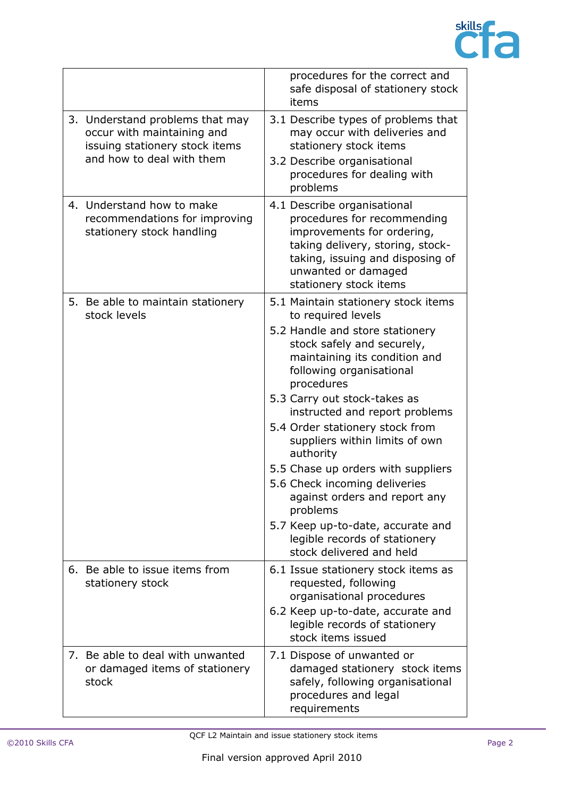

|                                                                                                                              | procedures for the correct and<br>safe disposal of stationery stock<br>items                                                                                                                                                                                                                                                                                                                                                                                                                                                                                                    |
|------------------------------------------------------------------------------------------------------------------------------|---------------------------------------------------------------------------------------------------------------------------------------------------------------------------------------------------------------------------------------------------------------------------------------------------------------------------------------------------------------------------------------------------------------------------------------------------------------------------------------------------------------------------------------------------------------------------------|
| 3. Understand problems that may<br>occur with maintaining and<br>issuing stationery stock items<br>and how to deal with them | 3.1 Describe types of problems that<br>may occur with deliveries and<br>stationery stock items<br>3.2 Describe organisational<br>procedures for dealing with<br>problems                                                                                                                                                                                                                                                                                                                                                                                                        |
| 4. Understand how to make<br>recommendations for improving<br>stationery stock handling                                      | 4.1 Describe organisational<br>procedures for recommending<br>improvements for ordering,<br>taking delivery, storing, stock-<br>taking, issuing and disposing of<br>unwanted or damaged<br>stationery stock items                                                                                                                                                                                                                                                                                                                                                               |
| 5. Be able to maintain stationery<br>stock levels                                                                            | 5.1 Maintain stationery stock items<br>to required levels<br>5.2 Handle and store stationery<br>stock safely and securely,<br>maintaining its condition and<br>following organisational<br>procedures<br>5.3 Carry out stock-takes as<br>instructed and report problems<br>5.4 Order stationery stock from<br>suppliers within limits of own<br>authority<br>5.5 Chase up orders with suppliers<br>5.6 Check incoming deliveries<br>against orders and report any<br>problems<br>5.7 Keep up-to-date, accurate and<br>legible records of stationery<br>stock delivered and held |
| 6. Be able to issue items from<br>stationery stock                                                                           | 6.1 Issue stationery stock items as<br>requested, following<br>organisational procedures<br>6.2 Keep up-to-date, accurate and<br>legible records of stationery<br>stock items issued                                                                                                                                                                                                                                                                                                                                                                                            |
| 7. Be able to deal with unwanted<br>or damaged items of stationery<br>stock                                                  | 7.1 Dispose of unwanted or<br>damaged stationery stock items<br>safely, following organisational<br>procedures and legal<br>requirements                                                                                                                                                                                                                                                                                                                                                                                                                                        |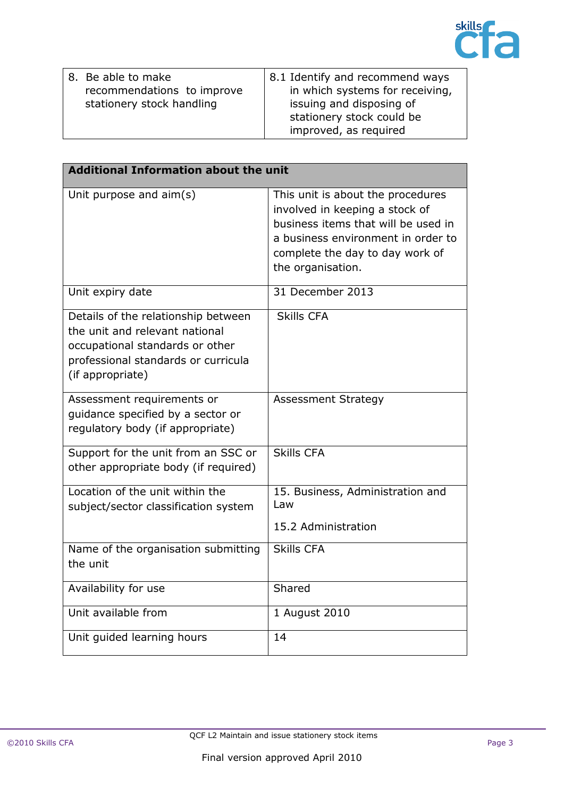|    |                                                                                                | <b>skills</b> |  |
|----|------------------------------------------------------------------------------------------------|---------------|--|
| /e | 8.1 Identify and recommend ways<br>in which systems for receiving,<br>issuing and disposing of |               |  |

| 8. Be able to make         | 8.1 Identify and recommend ways |
|----------------------------|---------------------------------|
| recommendations to improve | in which systems for receiving, |
| stationery stock handling  | issuing and disposing of        |
|                            | stationery stock could be       |
|                            | improved, as required           |

| <b>Additional Information about the unit</b>                                                                                                                        |                                                                                                                                                                                                          |
|---------------------------------------------------------------------------------------------------------------------------------------------------------------------|----------------------------------------------------------------------------------------------------------------------------------------------------------------------------------------------------------|
| Unit purpose and aim(s)                                                                                                                                             | This unit is about the procedures<br>involved in keeping a stock of<br>business items that will be used in<br>a business environment in order to<br>complete the day to day work of<br>the organisation. |
| Unit expiry date                                                                                                                                                    | 31 December 2013                                                                                                                                                                                         |
| Details of the relationship between<br>the unit and relevant national<br>occupational standards or other<br>professional standards or curricula<br>(if appropriate) | <b>Skills CFA</b>                                                                                                                                                                                        |
| Assessment requirements or<br>guidance specified by a sector or<br>regulatory body (if appropriate)                                                                 | <b>Assessment Strategy</b>                                                                                                                                                                               |
| Support for the unit from an SSC or<br>other appropriate body (if required)                                                                                         | <b>Skills CFA</b>                                                                                                                                                                                        |
| Location of the unit within the<br>subject/sector classification system                                                                                             | 15. Business, Administration and<br>Law<br>15.2 Administration                                                                                                                                           |
| Name of the organisation submitting<br>the unit                                                                                                                     | <b>Skills CFA</b>                                                                                                                                                                                        |
| Availability for use                                                                                                                                                | Shared                                                                                                                                                                                                   |
| Unit available from                                                                                                                                                 | 1 August 2010                                                                                                                                                                                            |
| Unit guided learning hours                                                                                                                                          | 14                                                                                                                                                                                                       |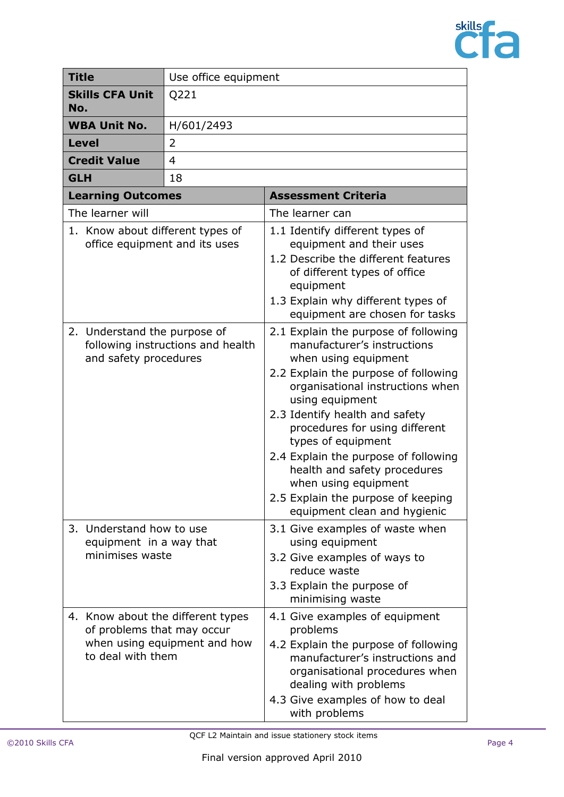

| <b>Title</b>                                                                               |                                                                        | Use office equipment                                              |                                                                                                                                                                                                                                                                                                                                                                                                                                                            |  |
|--------------------------------------------------------------------------------------------|------------------------------------------------------------------------|-------------------------------------------------------------------|------------------------------------------------------------------------------------------------------------------------------------------------------------------------------------------------------------------------------------------------------------------------------------------------------------------------------------------------------------------------------------------------------------------------------------------------------------|--|
| <b>Skills CFA Unit</b><br>No.                                                              |                                                                        | Q221                                                              |                                                                                                                                                                                                                                                                                                                                                                                                                                                            |  |
| <b>WBA Unit No.</b>                                                                        |                                                                        | H/601/2493                                                        |                                                                                                                                                                                                                                                                                                                                                                                                                                                            |  |
| <b>Level</b>                                                                               |                                                                        | 2                                                                 |                                                                                                                                                                                                                                                                                                                                                                                                                                                            |  |
|                                                                                            | <b>Credit Value</b>                                                    | $\overline{4}$                                                    |                                                                                                                                                                                                                                                                                                                                                                                                                                                            |  |
| <b>GLH</b>                                                                                 |                                                                        | 18                                                                |                                                                                                                                                                                                                                                                                                                                                                                                                                                            |  |
|                                                                                            | <b>Learning Outcomes</b>                                               |                                                                   | <b>Assessment Criteria</b>                                                                                                                                                                                                                                                                                                                                                                                                                                 |  |
|                                                                                            | The learner will                                                       |                                                                   | The learner can                                                                                                                                                                                                                                                                                                                                                                                                                                            |  |
| 1. Know about different types of<br>office equipment and its uses                          |                                                                        |                                                                   | 1.1 Identify different types of<br>equipment and their uses<br>1.2 Describe the different features<br>of different types of office<br>equipment<br>1.3 Explain why different types of<br>equipment are chosen for tasks                                                                                                                                                                                                                                    |  |
| 2. Understand the purpose of<br>following instructions and health<br>and safety procedures |                                                                        |                                                                   | 2.1 Explain the purpose of following<br>manufacturer's instructions<br>when using equipment<br>2.2 Explain the purpose of following<br>organisational instructions when<br>using equipment<br>2.3 Identify health and safety<br>procedures for using different<br>types of equipment<br>2.4 Explain the purpose of following<br>health and safety procedures<br>when using equipment<br>2.5 Explain the purpose of keeping<br>equipment clean and hygienic |  |
|                                                                                            | 3. Understand how to use<br>equipment in a way that<br>minimises waste |                                                                   | 3.1 Give examples of waste when<br>using equipment<br>3.2 Give examples of ways to<br>reduce waste<br>3.3 Explain the purpose of<br>minimising waste                                                                                                                                                                                                                                                                                                       |  |
|                                                                                            | of problems that may occur<br>to deal with them                        | 4. Know about the different types<br>when using equipment and how | 4.1 Give examples of equipment<br>problems<br>4.2 Explain the purpose of following<br>manufacturer's instructions and<br>organisational procedures when<br>dealing with problems<br>4.3 Give examples of how to deal<br>with problems                                                                                                                                                                                                                      |  |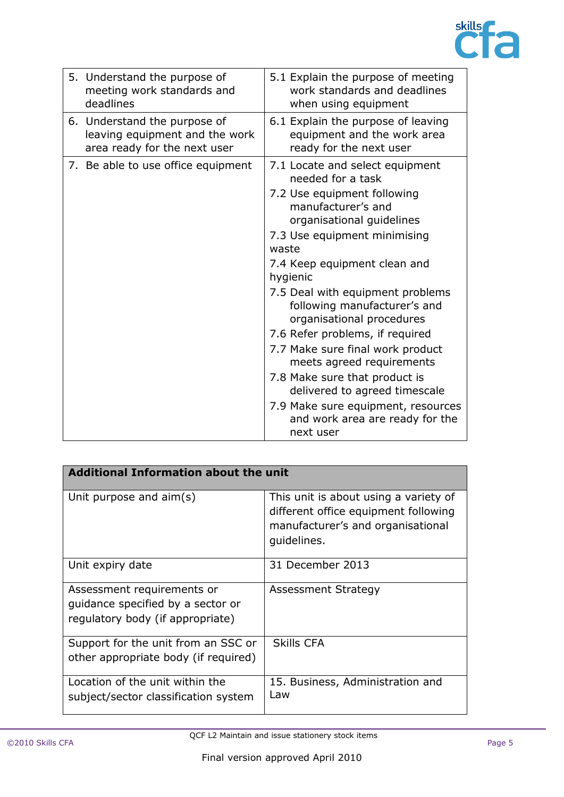

| 5. Understand the purpose of<br>meeting work standards and<br>deadlines                        | 5.1 Explain the purpose of meeting<br>work standards and deadlines<br>when using equipment    |
|------------------------------------------------------------------------------------------------|-----------------------------------------------------------------------------------------------|
| 6. Understand the purpose of<br>leaving equipment and the work<br>area ready for the next user | 6.1 Explain the purpose of leaving<br>equipment and the work area<br>ready for the next user  |
| 7. Be able to use office equipment                                                             | 7.1 Locate and select equipment<br>needed for a task                                          |
|                                                                                                | 7.2 Use equipment following<br>manufacturer's and<br>organisational guidelines                |
|                                                                                                | 7.3 Use equipment minimising<br>waste                                                         |
|                                                                                                | 7.4 Keep equipment clean and<br>hygienic                                                      |
|                                                                                                | 7.5 Deal with equipment problems<br>following manufacturer's and<br>organisational procedures |
|                                                                                                | 7.6 Refer problems, if required                                                               |
|                                                                                                | 7.7 Make sure final work product<br>meets agreed requirements                                 |
|                                                                                                | 7.8 Make sure that product is<br>delivered to agreed timescale                                |
|                                                                                                | 7.9 Make sure equipment, resources<br>and work area are ready for the<br>next user            |

| <b>Additional Information about the unit</b>                                                        |                                                                                                                                   |  |
|-----------------------------------------------------------------------------------------------------|-----------------------------------------------------------------------------------------------------------------------------------|--|
| Unit purpose and aim(s)                                                                             | This unit is about using a variety of<br>different office equipment following<br>manufacturer's and organisational<br>guidelines. |  |
| Unit expiry date                                                                                    | 31 December 2013                                                                                                                  |  |
| Assessment requirements or<br>quidance specified by a sector or<br>regulatory body (if appropriate) | Assessment Strategy                                                                                                               |  |
| Support for the unit from an SSC or<br>other appropriate body (if required)                         | <b>Skills CFA</b>                                                                                                                 |  |
| Location of the unit within the<br>subject/sector classification system                             | 15. Business, Administration and<br>Law                                                                                           |  |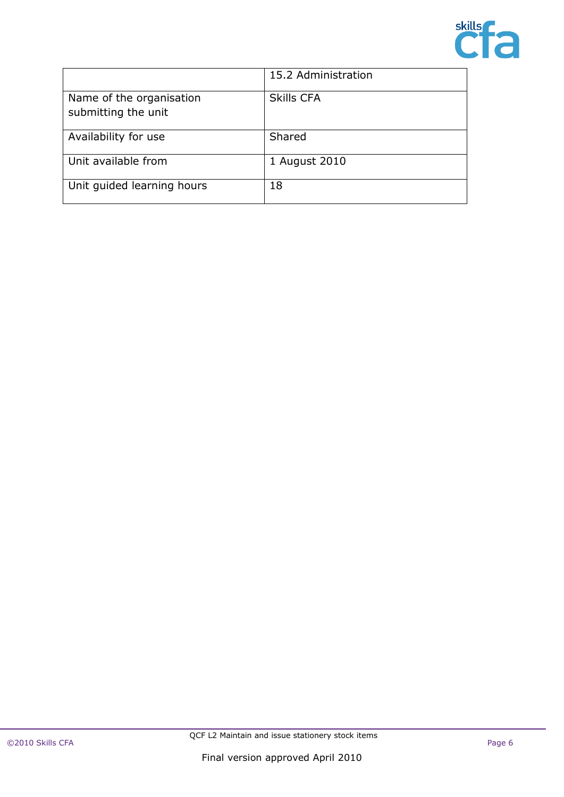

|                                                 | 15.2 Administration |
|-------------------------------------------------|---------------------|
| Name of the organisation<br>submitting the unit | <b>Skills CFA</b>   |
| Availability for use                            | Shared              |
| Unit available from                             | 1 August 2010       |
| Unit guided learning hours                      | 18                  |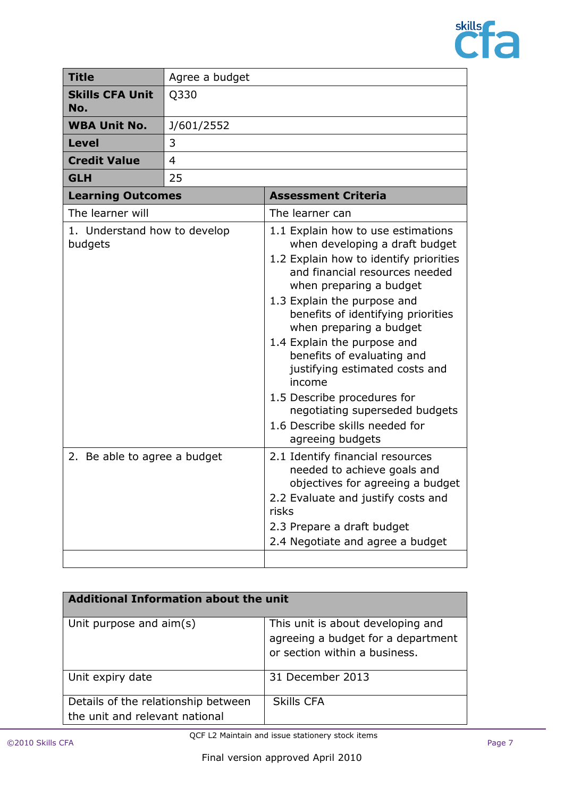

| <b>Title</b>                            | Agree a budget |                                                                                                                                                                                                                                                                                                                                                                                                                                                                                                             |
|-----------------------------------------|----------------|-------------------------------------------------------------------------------------------------------------------------------------------------------------------------------------------------------------------------------------------------------------------------------------------------------------------------------------------------------------------------------------------------------------------------------------------------------------------------------------------------------------|
| <b>Skills CFA Unit</b><br>No.           | Q330           |                                                                                                                                                                                                                                                                                                                                                                                                                                                                                                             |
| <b>WBA Unit No.</b>                     | J/601/2552     |                                                                                                                                                                                                                                                                                                                                                                                                                                                                                                             |
| <b>Level</b>                            | 3              |                                                                                                                                                                                                                                                                                                                                                                                                                                                                                                             |
| <b>Credit Value</b>                     | $\overline{4}$ |                                                                                                                                                                                                                                                                                                                                                                                                                                                                                                             |
| <b>GLH</b>                              | 25             |                                                                                                                                                                                                                                                                                                                                                                                                                                                                                                             |
| <b>Learning Outcomes</b>                |                | <b>Assessment Criteria</b>                                                                                                                                                                                                                                                                                                                                                                                                                                                                                  |
| The learner will                        |                | The learner can                                                                                                                                                                                                                                                                                                                                                                                                                                                                                             |
| 1. Understand how to develop<br>budgets |                | 1.1 Explain how to use estimations<br>when developing a draft budget<br>1.2 Explain how to identify priorities<br>and financial resources needed<br>when preparing a budget<br>1.3 Explain the purpose and<br>benefits of identifying priorities<br>when preparing a budget<br>1.4 Explain the purpose and<br>benefits of evaluating and<br>justifying estimated costs and<br>income<br>1.5 Describe procedures for<br>negotiating superseded budgets<br>1.6 Describe skills needed for<br>agreeing budgets |
| 2. Be able to agree a budget            |                | 2.1 Identify financial resources<br>needed to achieve goals and<br>objectives for agreeing a budget<br>2.2 Evaluate and justify costs and<br>risks<br>2.3 Prepare a draft budget<br>2.4 Negotiate and agree a budget                                                                                                                                                                                                                                                                                        |

| Additional Information about the unit                                 |                                                                                                          |  |
|-----------------------------------------------------------------------|----------------------------------------------------------------------------------------------------------|--|
| Unit purpose and aim(s)                                               | This unit is about developing and<br>agreeing a budget for a department<br>or section within a business. |  |
| Unit expiry date                                                      | 31 December 2013                                                                                         |  |
| Details of the relationship between<br>the unit and relevant national | <b>Skills CFA</b>                                                                                        |  |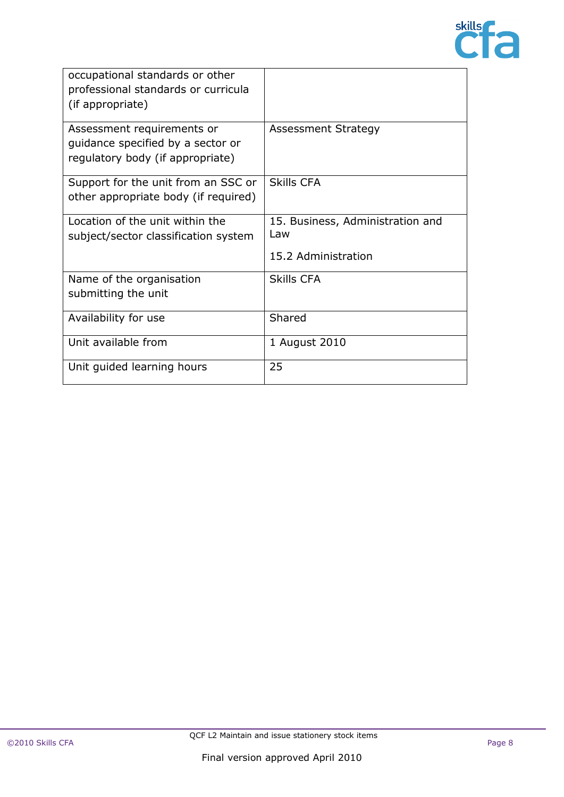

| occupational standards or other<br>professional standards or curricula<br>(if appropriate)          |                                                                |
|-----------------------------------------------------------------------------------------------------|----------------------------------------------------------------|
| Assessment requirements or<br>guidance specified by a sector or<br>regulatory body (if appropriate) | <b>Assessment Strategy</b>                                     |
| Support for the unit from an SSC or<br>other appropriate body (if required)                         | <b>Skills CFA</b>                                              |
| Location of the unit within the<br>subject/sector classification system                             | 15. Business, Administration and<br>Law<br>15.2 Administration |
| Name of the organisation<br>submitting the unit                                                     | Skills CFA                                                     |
| Availability for use                                                                                | Shared                                                         |
| Unit available from                                                                                 | 1 August 2010                                                  |
| Unit guided learning hours                                                                          | 25                                                             |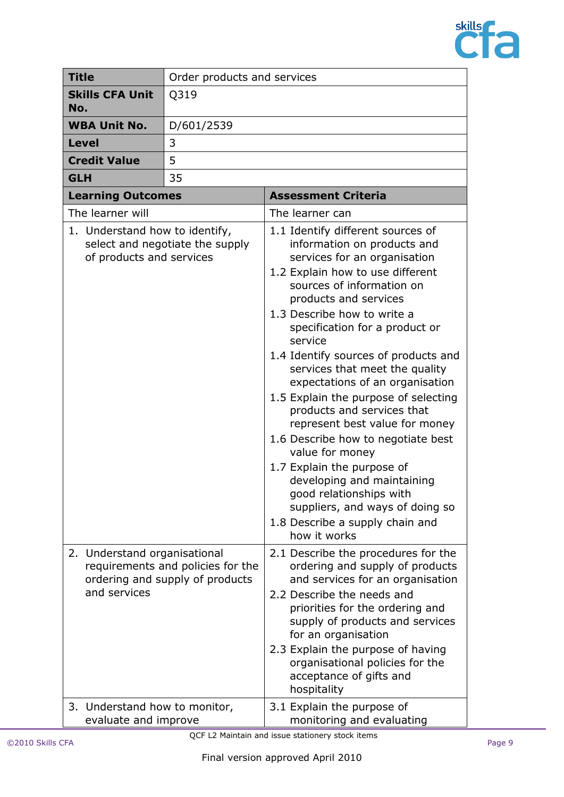

| <b>Title</b>                                                                               | Order products and services                                          |                                                                                                                                                                                                                                                                                                                                                                                                                                                                                                                                                                                                                                                                                                                                                                          |
|--------------------------------------------------------------------------------------------|----------------------------------------------------------------------|--------------------------------------------------------------------------------------------------------------------------------------------------------------------------------------------------------------------------------------------------------------------------------------------------------------------------------------------------------------------------------------------------------------------------------------------------------------------------------------------------------------------------------------------------------------------------------------------------------------------------------------------------------------------------------------------------------------------------------------------------------------------------|
| <b>Skills CFA Unit</b><br>No.                                                              | Q319                                                                 |                                                                                                                                                                                                                                                                                                                                                                                                                                                                                                                                                                                                                                                                                                                                                                          |
| <b>WBA Unit No.</b>                                                                        | D/601/2539                                                           |                                                                                                                                                                                                                                                                                                                                                                                                                                                                                                                                                                                                                                                                                                                                                                          |
| <b>Level</b>                                                                               | 3                                                                    |                                                                                                                                                                                                                                                                                                                                                                                                                                                                                                                                                                                                                                                                                                                                                                          |
| <b>Credit Value</b>                                                                        | 5                                                                    |                                                                                                                                                                                                                                                                                                                                                                                                                                                                                                                                                                                                                                                                                                                                                                          |
| <b>GLH</b>                                                                                 | 35                                                                   |                                                                                                                                                                                                                                                                                                                                                                                                                                                                                                                                                                                                                                                                                                                                                                          |
| <b>Learning Outcomes</b>                                                                   |                                                                      | <b>Assessment Criteria</b>                                                                                                                                                                                                                                                                                                                                                                                                                                                                                                                                                                                                                                                                                                                                               |
| The learner will                                                                           |                                                                      | The learner can                                                                                                                                                                                                                                                                                                                                                                                                                                                                                                                                                                                                                                                                                                                                                          |
| 1. Understand how to identify,<br>of products and services<br>2. Understand organisational | select and negotiate the supply                                      | 1.1 Identify different sources of<br>information on products and<br>services for an organisation<br>1.2 Explain how to use different<br>sources of information on<br>products and services<br>1.3 Describe how to write a<br>specification for a product or<br>service<br>1.4 Identify sources of products and<br>services that meet the quality<br>expectations of an organisation<br>1.5 Explain the purpose of selecting<br>products and services that<br>represent best value for money<br>1.6 Describe how to negotiate best<br>value for money<br>1.7 Explain the purpose of<br>developing and maintaining<br>good relationships with<br>suppliers, and ways of doing so<br>1.8 Describe a supply chain and<br>how it works<br>2.1 Describe the procedures for the |
| and services                                                                               | requirements and policies for the<br>ordering and supply of products | ordering and supply of products<br>and services for an organisation<br>2.2 Describe the needs and<br>priorities for the ordering and<br>supply of products and services<br>for an organisation<br>2.3 Explain the purpose of having                                                                                                                                                                                                                                                                                                                                                                                                                                                                                                                                      |
|                                                                                            |                                                                      | organisational policies for the<br>acceptance of gifts and<br>hospitality                                                                                                                                                                                                                                                                                                                                                                                                                                                                                                                                                                                                                                                                                                |
| 3. Understand how to monitor,<br>evaluate and improve                                      |                                                                      | 3.1 Explain the purpose of<br>monitoring and evaluating                                                                                                                                                                                                                                                                                                                                                                                                                                                                                                                                                                                                                                                                                                                  |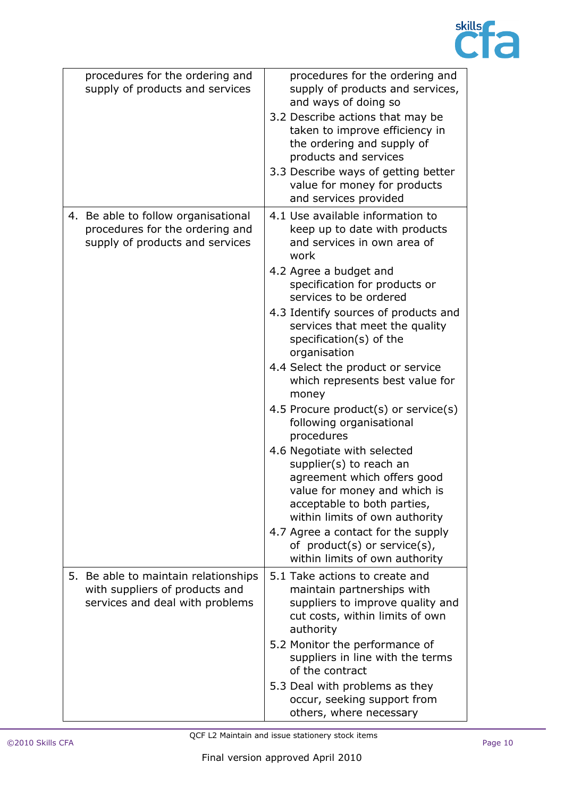

| procedures for the ordering and<br>supply of products and services                                           | procedures for the ordering and<br>supply of products and services,<br>and ways of doing so<br>3.2 Describe actions that may be<br>taken to improve efficiency in<br>the ordering and supply of<br>products and services<br>3.3 Describe ways of getting better<br>value for money for products<br>and services provided                                                                                                                                                                                                                                                                                                                                                                                                                                                                        |
|--------------------------------------------------------------------------------------------------------------|-------------------------------------------------------------------------------------------------------------------------------------------------------------------------------------------------------------------------------------------------------------------------------------------------------------------------------------------------------------------------------------------------------------------------------------------------------------------------------------------------------------------------------------------------------------------------------------------------------------------------------------------------------------------------------------------------------------------------------------------------------------------------------------------------|
| 4. Be able to follow organisational<br>procedures for the ordering and<br>supply of products and services    | 4.1 Use available information to<br>keep up to date with products<br>and services in own area of<br>work<br>4.2 Agree a budget and<br>specification for products or<br>services to be ordered<br>4.3 Identify sources of products and<br>services that meet the quality<br>specification $(s)$ of the<br>organisation<br>4.4 Select the product or service<br>which represents best value for<br>money<br>4.5 Procure product(s) or service(s)<br>following organisational<br>procedures<br>4.6 Negotiate with selected<br>supplier(s) to reach an<br>agreement which offers good<br>value for money and which is<br>acceptable to both parties,<br>within limits of own authority<br>4.7 Agree a contact for the supply<br>of $product(s)$ or $service(s)$ ,<br>within limits of own authority |
| 5.<br>Be able to maintain relationships<br>with suppliers of products and<br>services and deal with problems | 5.1 Take actions to create and<br>maintain partnerships with<br>suppliers to improve quality and<br>cut costs, within limits of own<br>authority<br>5.2 Monitor the performance of<br>suppliers in line with the terms<br>of the contract<br>5.3 Deal with problems as they<br>occur, seeking support from<br>others, where necessary                                                                                                                                                                                                                                                                                                                                                                                                                                                           |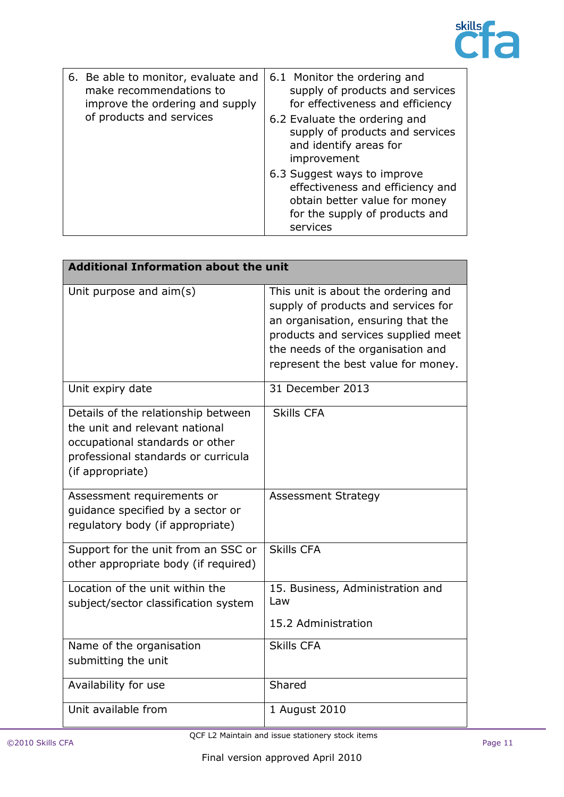

| 6. Be able to monitor, evaluate and<br>make recommendations to<br>improve the ordering and supply<br>of products and services | 6.1 Monitor the ordering and<br>supply of products and services<br>for effectiveness and efficiency<br>6.2 Evaluate the ordering and<br>supply of products and services<br>and identify areas for<br>improvement |
|-------------------------------------------------------------------------------------------------------------------------------|------------------------------------------------------------------------------------------------------------------------------------------------------------------------------------------------------------------|
|                                                                                                                               | 6.3 Suggest ways to improve<br>effectiveness and efficiency and<br>obtain better value for money<br>for the supply of products and<br>services                                                                   |

| <b>Additional Information about the unit</b>                                                                                                                        |                                                                                                                                                                                                                                     |
|---------------------------------------------------------------------------------------------------------------------------------------------------------------------|-------------------------------------------------------------------------------------------------------------------------------------------------------------------------------------------------------------------------------------|
| Unit purpose and aim(s)                                                                                                                                             | This unit is about the ordering and<br>supply of products and services for<br>an organisation, ensuring that the<br>products and services supplied meet<br>the needs of the organisation and<br>represent the best value for money. |
| Unit expiry date                                                                                                                                                    | 31 December 2013                                                                                                                                                                                                                    |
| Details of the relationship between<br>the unit and relevant national<br>occupational standards or other<br>professional standards or curricula<br>(if appropriate) | <b>Skills CFA</b>                                                                                                                                                                                                                   |
| Assessment requirements or<br>guidance specified by a sector or<br>regulatory body (if appropriate)                                                                 | <b>Assessment Strategy</b>                                                                                                                                                                                                          |
| Support for the unit from an SSC or<br>other appropriate body (if required)                                                                                         | <b>Skills CFA</b>                                                                                                                                                                                                                   |
| Location of the unit within the<br>subject/sector classification system                                                                                             | 15. Business, Administration and<br>Law                                                                                                                                                                                             |
|                                                                                                                                                                     | 15.2 Administration                                                                                                                                                                                                                 |
| Name of the organisation<br>submitting the unit                                                                                                                     | <b>Skills CFA</b>                                                                                                                                                                                                                   |
| Availability for use                                                                                                                                                | Shared                                                                                                                                                                                                                              |
| Unit available from                                                                                                                                                 | 1 August 2010                                                                                                                                                                                                                       |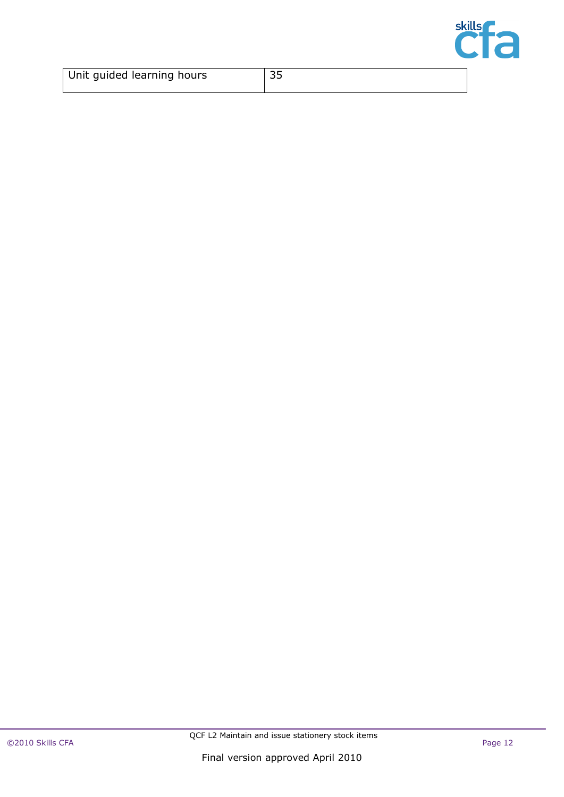

| Unit guided learning hours | ں ر |
|----------------------------|-----|
|                            |     |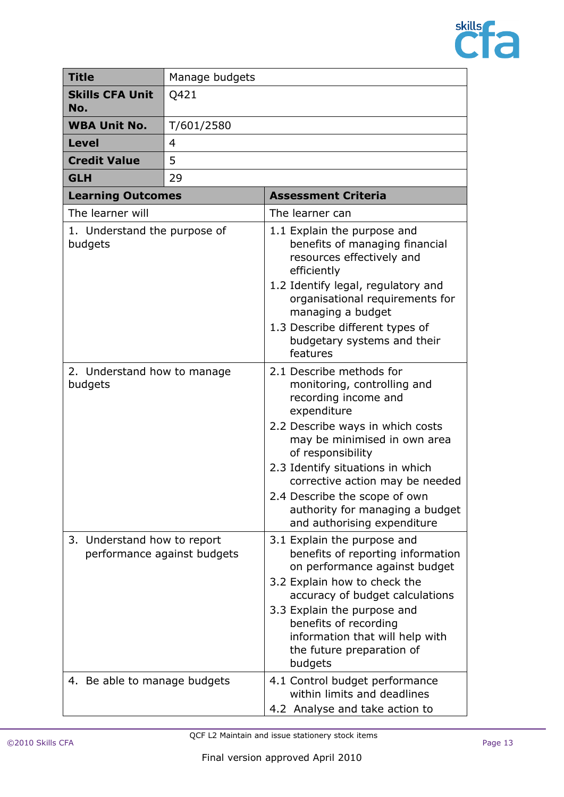

| <b>Title</b>                                               | Manage budgets |                                                                                                                                                                                                                                                                                                                                                                   |
|------------------------------------------------------------|----------------|-------------------------------------------------------------------------------------------------------------------------------------------------------------------------------------------------------------------------------------------------------------------------------------------------------------------------------------------------------------------|
| <b>Skills CFA Unit</b><br>No.                              | Q421           |                                                                                                                                                                                                                                                                                                                                                                   |
| <b>WBA Unit No.</b>                                        | T/601/2580     |                                                                                                                                                                                                                                                                                                                                                                   |
| <b>Level</b>                                               | 4              |                                                                                                                                                                                                                                                                                                                                                                   |
| <b>Credit Value</b>                                        | 5              |                                                                                                                                                                                                                                                                                                                                                                   |
| <b>GLH</b>                                                 | 29             |                                                                                                                                                                                                                                                                                                                                                                   |
| <b>Learning Outcomes</b>                                   |                | <b>Assessment Criteria</b>                                                                                                                                                                                                                                                                                                                                        |
| The learner will                                           |                | The learner can                                                                                                                                                                                                                                                                                                                                                   |
| 1. Understand the purpose of<br>budgets                    |                | 1.1 Explain the purpose and<br>benefits of managing financial<br>resources effectively and<br>efficiently<br>1.2 Identify legal, regulatory and<br>organisational requirements for<br>managing a budget<br>1.3 Describe different types of<br>budgetary systems and their<br>features                                                                             |
| 2. Understand how to manage<br>budgets                     |                | 2.1 Describe methods for<br>monitoring, controlling and<br>recording income and<br>expenditure<br>2.2 Describe ways in which costs<br>may be minimised in own area<br>of responsibility<br>2.3 Identify situations in which<br>corrective action may be needed<br>2.4 Describe the scope of own<br>authority for managing a budget<br>and authorising expenditure |
| 3. Understand how to report<br>performance against budgets |                | 3.1 Explain the purpose and<br>benefits of reporting information<br>on performance against budget<br>3.2 Explain how to check the<br>accuracy of budget calculations<br>3.3 Explain the purpose and<br>benefits of recording<br>information that will help with<br>the future preparation of<br>budgets                                                           |
| 4. Be able to manage budgets                               |                | 4.1 Control budget performance<br>within limits and deadlines<br>4.2 Analyse and take action to                                                                                                                                                                                                                                                                   |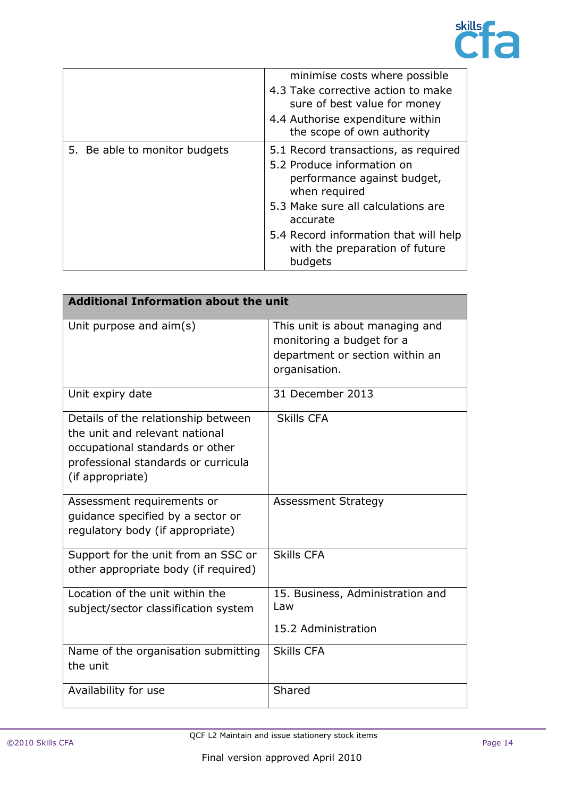

|                               | minimise costs where possible<br>4.3 Take corrective action to make<br>sure of best value for money<br>4.4 Authorise expenditure within<br>the scope of own authority                                                                                      |
|-------------------------------|------------------------------------------------------------------------------------------------------------------------------------------------------------------------------------------------------------------------------------------------------------|
| 5. Be able to monitor budgets | 5.1 Record transactions, as required<br>5.2 Produce information on<br>performance against budget,<br>when required<br>5.3 Make sure all calculations are<br>accurate<br>5.4 Record information that will help<br>with the preparation of future<br>budgets |

| <b>Additional Information about the unit</b>                                                                                                                        |                                                                                                                  |
|---------------------------------------------------------------------------------------------------------------------------------------------------------------------|------------------------------------------------------------------------------------------------------------------|
| Unit purpose and $\text{aim}(s)$                                                                                                                                    | This unit is about managing and<br>monitoring a budget for a<br>department or section within an<br>organisation. |
| Unit expiry date                                                                                                                                                    | 31 December 2013                                                                                                 |
| Details of the relationship between<br>the unit and relevant national<br>occupational standards or other<br>professional standards or curricula<br>(if appropriate) | <b>Skills CFA</b>                                                                                                |
| Assessment requirements or<br>quidance specified by a sector or<br>regulatory body (if appropriate)                                                                 | <b>Assessment Strategy</b>                                                                                       |
| Support for the unit from an SSC or<br>other appropriate body (if required)                                                                                         | <b>Skills CFA</b>                                                                                                |
| Location of the unit within the<br>subject/sector classification system                                                                                             | 15. Business, Administration and<br>Law                                                                          |
|                                                                                                                                                                     | 15.2 Administration                                                                                              |
| Name of the organisation submitting<br>the unit                                                                                                                     | <b>Skills CFA</b>                                                                                                |
| Availability for use                                                                                                                                                | Shared                                                                                                           |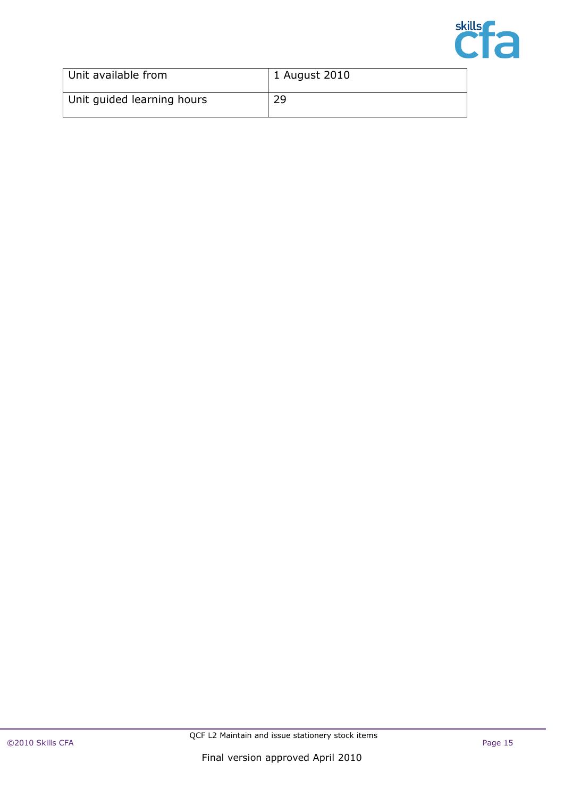

| Unit available from        | 1 August 2010 |
|----------------------------|---------------|
| Unit guided learning hours | 29            |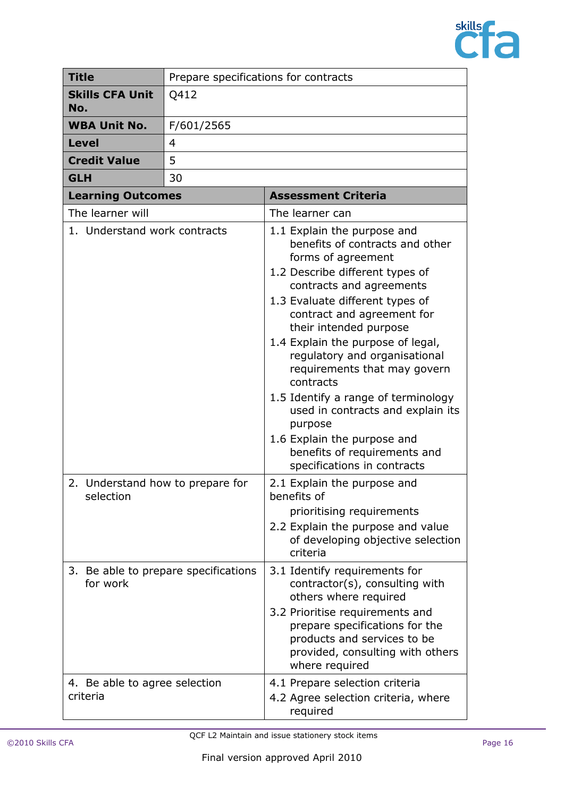

| <b>Title</b>                                  | Prepare specifications for contracts |                                                                                                                                                                                                                                                                                                                                                                                                                                                                                                                                                        |
|-----------------------------------------------|--------------------------------------|--------------------------------------------------------------------------------------------------------------------------------------------------------------------------------------------------------------------------------------------------------------------------------------------------------------------------------------------------------------------------------------------------------------------------------------------------------------------------------------------------------------------------------------------------------|
| <b>Skills CFA Unit</b><br>No.                 | Q412                                 |                                                                                                                                                                                                                                                                                                                                                                                                                                                                                                                                                        |
| <b>WBA Unit No.</b>                           | F/601/2565                           |                                                                                                                                                                                                                                                                                                                                                                                                                                                                                                                                                        |
| <b>Level</b>                                  | 4                                    |                                                                                                                                                                                                                                                                                                                                                                                                                                                                                                                                                        |
| <b>Credit Value</b>                           | 5                                    |                                                                                                                                                                                                                                                                                                                                                                                                                                                                                                                                                        |
| <b>GLH</b>                                    | 30                                   |                                                                                                                                                                                                                                                                                                                                                                                                                                                                                                                                                        |
| <b>Learning Outcomes</b>                      |                                      | <b>Assessment Criteria</b>                                                                                                                                                                                                                                                                                                                                                                                                                                                                                                                             |
| The learner will                              |                                      | The learner can                                                                                                                                                                                                                                                                                                                                                                                                                                                                                                                                        |
| 1. Understand work contracts                  |                                      | 1.1 Explain the purpose and<br>benefits of contracts and other<br>forms of agreement<br>1.2 Describe different types of<br>contracts and agreements<br>1.3 Evaluate different types of<br>contract and agreement for<br>their intended purpose<br>1.4 Explain the purpose of legal,<br>regulatory and organisational<br>requirements that may govern<br>contracts<br>1.5 Identify a range of terminology<br>used in contracts and explain its<br>purpose<br>1.6 Explain the purpose and<br>benefits of requirements and<br>specifications in contracts |
| 2. Understand how to prepare for<br>selection |                                      | 2.1 Explain the purpose and<br>benefits of<br>prioritising requirements<br>2.2 Explain the purpose and value<br>of developing objective selection<br>criteria                                                                                                                                                                                                                                                                                                                                                                                          |
| for work                                      | 3. Be able to prepare specifications | 3.1 Identify requirements for<br>contractor(s), consulting with<br>others where required<br>3.2 Prioritise requirements and<br>prepare specifications for the<br>products and services to be<br>provided, consulting with others<br>where required                                                                                                                                                                                                                                                                                                     |
| 4. Be able to agree selection<br>criteria     |                                      | 4.1 Prepare selection criteria<br>4.2 Agree selection criteria, where<br>required                                                                                                                                                                                                                                                                                                                                                                                                                                                                      |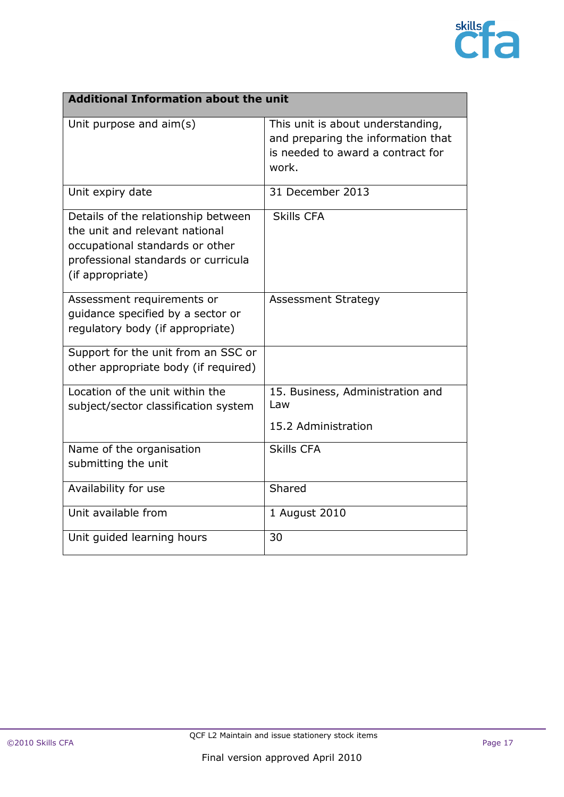

| <b>Additional Information about the unit</b>                                                                                                                        |                                                                                                                       |
|---------------------------------------------------------------------------------------------------------------------------------------------------------------------|-----------------------------------------------------------------------------------------------------------------------|
| Unit purpose and $\text{aim}(s)$                                                                                                                                    | This unit is about understanding,<br>and preparing the information that<br>is needed to award a contract for<br>work. |
| Unit expiry date                                                                                                                                                    | 31 December 2013                                                                                                      |
| Details of the relationship between<br>the unit and relevant national<br>occupational standards or other<br>professional standards or curricula<br>(if appropriate) | <b>Skills CFA</b>                                                                                                     |
| Assessment requirements or<br>quidance specified by a sector or<br>regulatory body (if appropriate)                                                                 | <b>Assessment Strategy</b>                                                                                            |
| Support for the unit from an SSC or<br>other appropriate body (if required)                                                                                         |                                                                                                                       |
| Location of the unit within the<br>subject/sector classification system                                                                                             | 15. Business, Administration and<br>Law<br>15.2 Administration                                                        |
| Name of the organisation<br>submitting the unit                                                                                                                     | <b>Skills CFA</b>                                                                                                     |
| Availability for use                                                                                                                                                | Shared                                                                                                                |
| Unit available from                                                                                                                                                 | 1 August 2010                                                                                                         |
| Unit guided learning hours                                                                                                                                          | 30                                                                                                                    |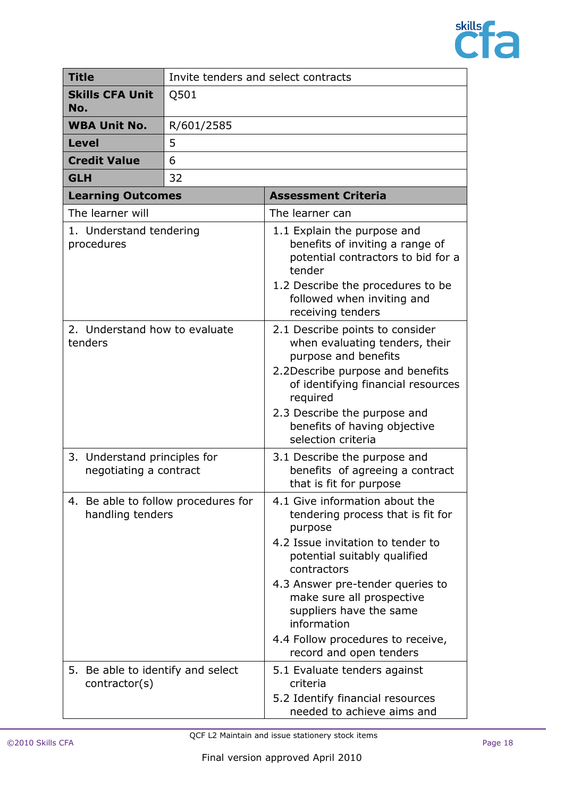

| <b>Title</b>                                            | Invite tenders and select contracts |                                                                                                                                                                                                                                                                                                                                               |
|---------------------------------------------------------|-------------------------------------|-----------------------------------------------------------------------------------------------------------------------------------------------------------------------------------------------------------------------------------------------------------------------------------------------------------------------------------------------|
| <b>Skills CFA Unit</b><br>No.                           | Q501                                |                                                                                                                                                                                                                                                                                                                                               |
| <b>WBA Unit No.</b>                                     | R/601/2585                          |                                                                                                                                                                                                                                                                                                                                               |
| <b>Level</b>                                            | 5                                   |                                                                                                                                                                                                                                                                                                                                               |
| <b>Credit Value</b>                                     | 6                                   |                                                                                                                                                                                                                                                                                                                                               |
| <b>GLH</b>                                              | 32                                  |                                                                                                                                                                                                                                                                                                                                               |
| <b>Learning Outcomes</b>                                |                                     | <b>Assessment Criteria</b>                                                                                                                                                                                                                                                                                                                    |
| The learner will                                        |                                     | The learner can                                                                                                                                                                                                                                                                                                                               |
| 1. Understand tendering<br>procedures                   |                                     | 1.1 Explain the purpose and<br>benefits of inviting a range of<br>potential contractors to bid for a<br>tender<br>1.2 Describe the procedures to be<br>followed when inviting and<br>receiving tenders                                                                                                                                        |
| 2. Understand how to evaluate<br>tenders                |                                     | 2.1 Describe points to consider<br>when evaluating tenders, their<br>purpose and benefits<br>2.2Describe purpose and benefits<br>of identifying financial resources<br>required<br>2.3 Describe the purpose and<br>benefits of having objective<br>selection criteria                                                                         |
| 3. Understand principles for<br>negotiating a contract  |                                     | 3.1 Describe the purpose and<br>benefits of agreeing a contract<br>that is fit for purpose                                                                                                                                                                                                                                                    |
| 4. Be able to follow procedures for<br>handling tenders |                                     | 4.1 Give information about the<br>tendering process that is fit for<br>purpose<br>4.2 Issue invitation to tender to<br>potential suitably qualified<br>contractors<br>4.3 Answer pre-tender queries to<br>make sure all prospective<br>suppliers have the same<br>information<br>4.4 Follow procedures to receive,<br>record and open tenders |
| 5. Be able to identify and select<br>contractor(s)      |                                     | 5.1 Evaluate tenders against<br>criteria<br>5.2 Identify financial resources<br>needed to achieve aims and                                                                                                                                                                                                                                    |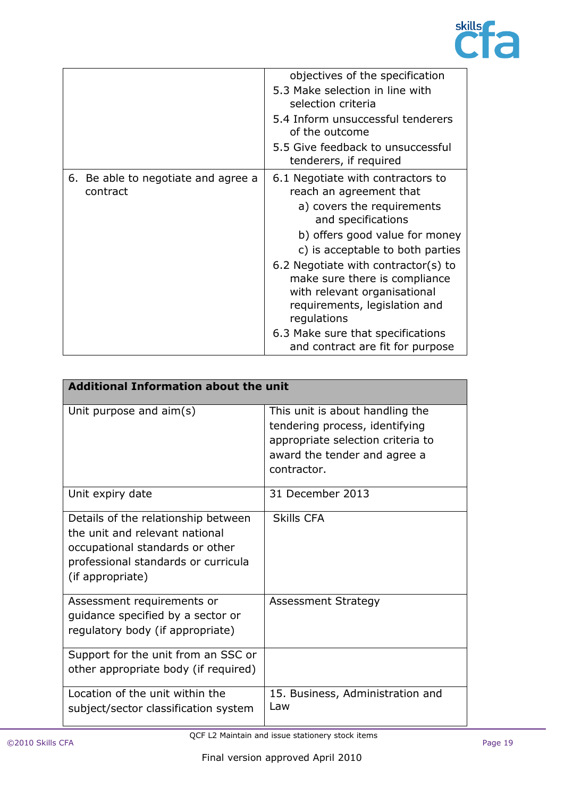

|                                                 | objectives of the specification<br>5.3 Make selection in line with<br>selection criteria<br>5.4 Inform unsuccessful tenderers<br>of the outcome<br>5.5 Give feedback to unsuccessful<br>tenderers, if required                                                                                                                                                                                                          |
|-------------------------------------------------|-------------------------------------------------------------------------------------------------------------------------------------------------------------------------------------------------------------------------------------------------------------------------------------------------------------------------------------------------------------------------------------------------------------------------|
| 6. Be able to negotiate and agree a<br>contract | 6.1 Negotiate with contractors to<br>reach an agreement that<br>a) covers the requirements<br>and specifications<br>b) offers good value for money<br>c) is acceptable to both parties<br>6.2 Negotiate with contractor(s) to<br>make sure there is compliance<br>with relevant organisational<br>requirements, legislation and<br>regulations<br>6.3 Make sure that specifications<br>and contract are fit for purpose |

| <b>Additional Information about the unit</b>                                                                                                                        |                                                                                                                                                       |
|---------------------------------------------------------------------------------------------------------------------------------------------------------------------|-------------------------------------------------------------------------------------------------------------------------------------------------------|
| Unit purpose and $\text{aim}(s)$                                                                                                                                    | This unit is about handling the<br>tendering process, identifying<br>appropriate selection criteria to<br>award the tender and agree a<br>contractor. |
| Unit expiry date                                                                                                                                                    | 31 December 2013                                                                                                                                      |
| Details of the relationship between<br>the unit and relevant national<br>occupational standards or other<br>professional standards or curricula<br>(if appropriate) | <b>Skills CFA</b>                                                                                                                                     |
| Assessment requirements or<br>guidance specified by a sector or<br>regulatory body (if appropriate)                                                                 | <b>Assessment Strategy</b>                                                                                                                            |
| Support for the unit from an SSC or<br>other appropriate body (if required)                                                                                         |                                                                                                                                                       |
| Location of the unit within the<br>subject/sector classification system                                                                                             | 15. Business, Administration and<br>l aw                                                                                                              |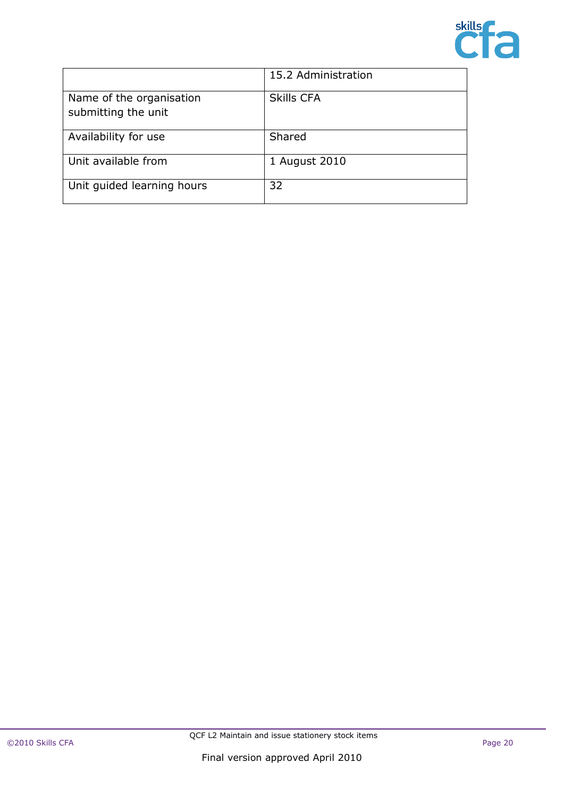

|                                                 | 15.2 Administration |
|-------------------------------------------------|---------------------|
| Name of the organisation<br>submitting the unit | <b>Skills CFA</b>   |
| Availability for use                            | Shared              |
| Unit available from                             | 1 August 2010       |
| Unit guided learning hours                      | 32                  |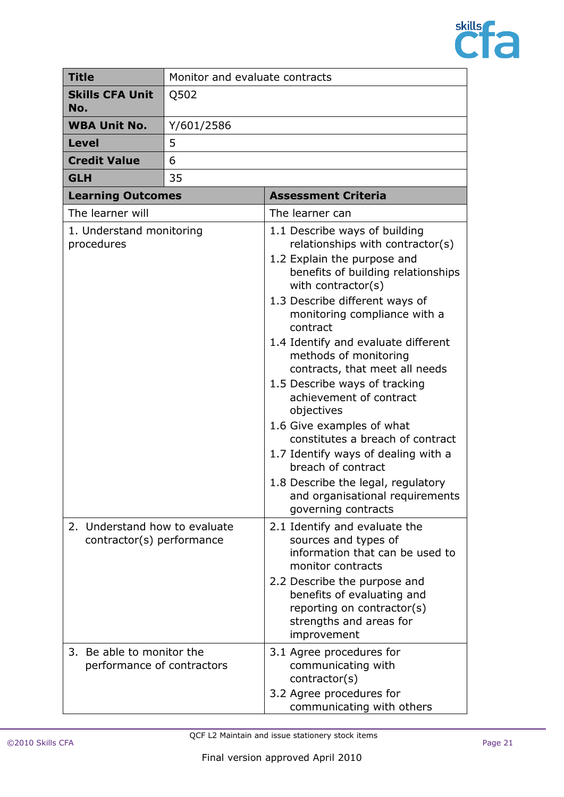

| <b>Title</b>                                               | Monitor and evaluate contracts |                                                                                                                                                                                                                                                                                                                                                                                                                                                                                                                                                                                                                                                      |
|------------------------------------------------------------|--------------------------------|------------------------------------------------------------------------------------------------------------------------------------------------------------------------------------------------------------------------------------------------------------------------------------------------------------------------------------------------------------------------------------------------------------------------------------------------------------------------------------------------------------------------------------------------------------------------------------------------------------------------------------------------------|
| <b>Skills CFA Unit</b><br>No.                              | Q502                           |                                                                                                                                                                                                                                                                                                                                                                                                                                                                                                                                                                                                                                                      |
| <b>WBA Unit No.</b>                                        | Y/601/2586                     |                                                                                                                                                                                                                                                                                                                                                                                                                                                                                                                                                                                                                                                      |
| <b>Level</b>                                               | 5                              |                                                                                                                                                                                                                                                                                                                                                                                                                                                                                                                                                                                                                                                      |
| <b>Credit Value</b>                                        | 6                              |                                                                                                                                                                                                                                                                                                                                                                                                                                                                                                                                                                                                                                                      |
| <b>GLH</b>                                                 | 35                             |                                                                                                                                                                                                                                                                                                                                                                                                                                                                                                                                                                                                                                                      |
| <b>Learning Outcomes</b>                                   |                                | <b>Assessment Criteria</b>                                                                                                                                                                                                                                                                                                                                                                                                                                                                                                                                                                                                                           |
| The learner will                                           |                                | The learner can                                                                                                                                                                                                                                                                                                                                                                                                                                                                                                                                                                                                                                      |
| 1. Understand monitoring<br>procedures                     |                                | 1.1 Describe ways of building<br>relationships with contractor(s)<br>1.2 Explain the purpose and<br>benefits of building relationships<br>with contractor(s)<br>1.3 Describe different ways of<br>monitoring compliance with a<br>contract<br>1.4 Identify and evaluate different<br>methods of monitoring<br>contracts, that meet all needs<br>1.5 Describe ways of tracking<br>achievement of contract<br>objectives<br>1.6 Give examples of what<br>constitutes a breach of contract<br>1.7 Identify ways of dealing with a<br>breach of contract<br>1.8 Describe the legal, regulatory<br>and organisational requirements<br>governing contracts |
| 2. Understand how to evaluate<br>contractor(s) performance |                                | 2.1 Identify and evaluate the<br>sources and types of<br>information that can be used to<br>monitor contracts<br>2.2 Describe the purpose and<br>benefits of evaluating and<br>reporting on contractor(s)<br>strengths and areas for<br>improvement                                                                                                                                                                                                                                                                                                                                                                                                  |
| 3. Be able to monitor the<br>performance of contractors    |                                | 3.1 Agree procedures for<br>communicating with<br>contractor(s)<br>3.2 Agree procedures for<br>communicating with others                                                                                                                                                                                                                                                                                                                                                                                                                                                                                                                             |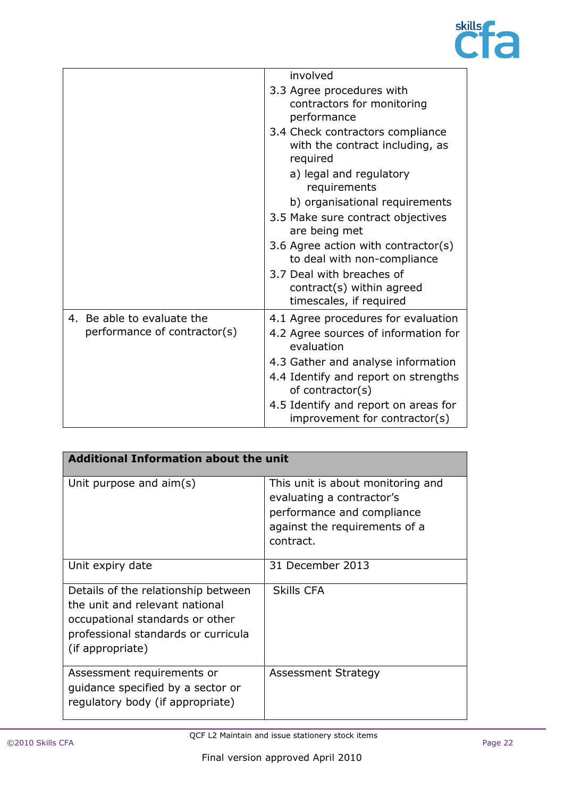

|                                                            | involved                                                                                                   |
|------------------------------------------------------------|------------------------------------------------------------------------------------------------------------|
|                                                            | 3.3 Agree procedures with<br>contractors for monitoring<br>performance                                     |
|                                                            | 3.4 Check contractors compliance<br>with the contract including, as<br>required<br>a) legal and regulatory |
|                                                            | requirements                                                                                               |
|                                                            | b) organisational requirements                                                                             |
|                                                            | 3.5 Make sure contract objectives<br>are being met                                                         |
|                                                            | 3.6 Agree action with contractor(s)<br>to deal with non-compliance                                         |
|                                                            | 3.7 Deal with breaches of<br>contract(s) within agreed<br>timescales, if required                          |
| 4. Be able to evaluate the<br>performance of contractor(s) | 4.1 Agree procedures for evaluation<br>4.2 Agree sources of information for<br>evaluation                  |
|                                                            | 4.3 Gather and analyse information                                                                         |
|                                                            | 4.4 Identify and report on strengths<br>of contractor(s)                                                   |
|                                                            | 4.5 Identify and report on areas for<br>improvement for contractor(s)                                      |

| <b>Additional Information about the unit</b>                                                                                                                        |                                                                                                                                            |
|---------------------------------------------------------------------------------------------------------------------------------------------------------------------|--------------------------------------------------------------------------------------------------------------------------------------------|
| Unit purpose and $\text{aim}(s)$                                                                                                                                    | This unit is about monitoring and<br>evaluating a contractor's<br>performance and compliance<br>against the requirements of a<br>contract. |
| Unit expiry date                                                                                                                                                    | 31 December 2013                                                                                                                           |
| Details of the relationship between<br>the unit and relevant national<br>occupational standards or other<br>professional standards or curricula<br>(if appropriate) | <b>Skills CFA</b>                                                                                                                          |
| Assessment requirements or<br>quidance specified by a sector or<br>regulatory body (if appropriate)                                                                 | Assessment Strategy                                                                                                                        |